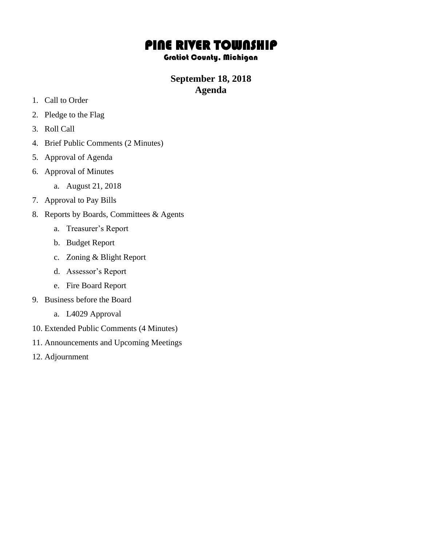# PINE RIVER TOWNSHIP

#### Gratiot County, Michigan

## **September 18, 2018 Agenda**

- 1. Call to Order
- 2. Pledge to the Flag
- 3. Roll Call
- 4. Brief Public Comments (2 Minutes)
- 5. Approval of Agenda
- 6. Approval of Minutes
	- a. August 21, 2018
- 7. Approval to Pay Bills
- 8. Reports by Boards, Committees & Agents
	- a. Treasurer's Report
	- b. Budget Report
	- c. Zoning & Blight Report
	- d. Assessor's Report
	- e. Fire Board Report
- 9. Business before the Board
	- a. L4029 Approval
- 10. Extended Public Comments (4 Minutes)
- 11. Announcements and Upcoming Meetings
- 12. Adjournment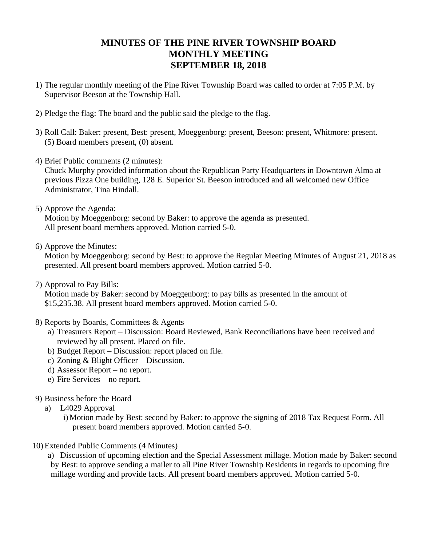## **MINUTES OF THE PINE RIVER TOWNSHIP BOARD MONTHLY MEETING SEPTEMBER 18, 2018**

- 1) The regular monthly meeting of the Pine River Township Board was called to order at 7:05 P.M. by Supervisor Beeson at the Township Hall.
- 2) Pledge the flag: The board and the public said the pledge to the flag.
- 3) Roll Call: Baker: present, Best: present, Moeggenborg: present, Beeson: present, Whitmore: present. (5) Board members present, (0) absent.
- 4) Brief Public comments (2 minutes):

Chuck Murphy provided information about the Republican Party Headquarters in Downtown Alma at previous Pizza One building, 128 E. Superior St. Beeson introduced and all welcomed new Office Administrator, Tina Hindall.

5) Approve the Agenda:

Motion by Moeggenborg: second by Baker: to approve the agenda as presented. All present board members approved. Motion carried 5-0.

6) Approve the Minutes:

Motion by Moeggenborg: second by Best: to approve the Regular Meeting Minutes of August 21, 2018 as presented. All present board members approved. Motion carried 5-0.

7) Approval to Pay Bills:

Motion made by Baker: second by Moeggenborg: to pay bills as presented in the amount of \$15,235.38. All present board members approved. Motion carried 5-0.

- 8) Reports by Boards, Committees & Agents
	- a) Treasurers Report Discussion: Board Reviewed, Bank Reconciliations have been received and reviewed by all present. Placed on file.
	- b) Budget Report Discussion: report placed on file.
	- c) Zoning & Blight Officer Discussion.
	- d) Assessor Report no report.
	- e) Fire Services no report.
- 9) Business before the Board
	- a) L4029 Approval
		- i)Motion made by Best: second by Baker: to approve the signing of 2018 Tax Request Form. All present board members approved. Motion carried 5-0.
- 10) Extended Public Comments (4 Minutes)

a) Discussion of upcoming election and the Special Assessment millage. Motion made by Baker: second by Best: to approve sending a mailer to all Pine River Township Residents in regards to upcoming fire millage wording and provide facts. All present board members approved. Motion carried 5-0.